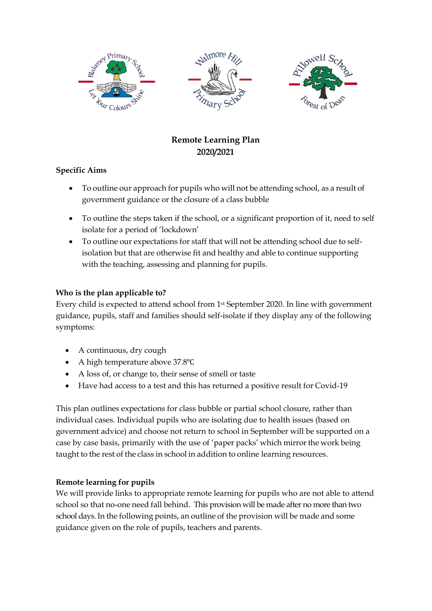

# **Remote Learning Plan 2020/2021**

## **Specific Aims**

- To outline our approach for pupils who will not be attending school, as a result of government guidance or the closure of a class bubble
- To outline the steps taken if the school, or a significant proportion of it, need to self isolate for a period of 'lockdown'
- To outline our expectations for staff that will not be attending school due to selfisolation but that are otherwise fit and healthy and able to continue supporting with the teaching, assessing and planning for pupils.

#### **Who is the plan applicable to?**

Every child is expected to attend school from 1st September 2020. In line with government guidance, pupils, staff and families should self-isolate if they display any of the following symptoms:

- A continuous, dry cough
- A high temperature above 37.8℃
- A loss of, or change to, their sense of smell or taste
- Have had access to a test and this has returned a positive result for Covid-19

This plan outlines expectations for class bubble or partial school closure, rather than individual cases. Individual pupils who are isolating due to health issues (based on government advice) and choose not return to school in September will be supported on a case by case basis, primarily with the use of 'paper packs' which mirrorthe work being taught to the rest of the class in school in addition to online learning resources.

## **Remote learning for pupils**

We will provide links to appropriate remote learning for pupils who are not able to attend school so that no-one need fall behind. This provision will be made after no more than two school days. In the following points, an outline of the provision will be made and some guidance given on the role of pupils, teachers and parents.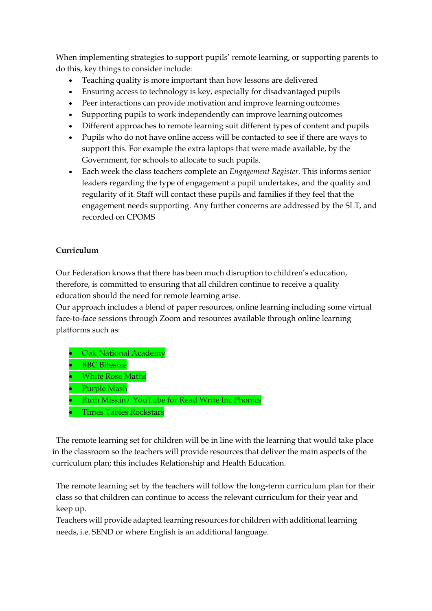When implementing strategies to support pupils' remote learning, or supporting parents to do this, key things to consider include:

- Teaching quality is more important than how lessons are delivered
- Ensuring access to technology is key, especially for disadvantaged pupils
- Peer interactions can provide motivation and improve learning outcomes
- Supporting pupils to work independently can improve learning outcomes
- Different approaches to remote learning suit different types of content and pupils
- Pupils who do not have online access will be contacted to see if there are ways to support this. For example the extra laptops that were made available, by the Government, for schools to allocate to such pupils.
- Each week the class teachers complete an *Engagement Register.* This informs senior leaders regarding the type of engagement a pupil undertakes, and the quality and regularity of it. Staff will contact these pupils and families if they feel that the engagement needs supporting. Any further concerns are addressed by the SLT, and recorded on CPOMS

## **Curriculum**

Our Federation knows that there has been much disruption to children's education, therefore, is committed to ensuring that all children continue to receive a quality education should the need for remote learning arise.

Our approach includes a blend of paper resources, online learning including some virtual face-to-face sessions through Zoom and resources available through online learning platforms such as:

- Oak National Academy **BBC** Bitesize • White Rose Maths • Purple Mash • Ruth Miskin/ YouTube for Read Write Inc Phonics
- Times Tables Rockstars

 The remote learning set for children will be in line with the learning that would take place in the classroom so the teachers will provide resources that deliver the main aspects of the curriculum plan; this includes Relationship and Health Education.

The remote learning set by the teachers will follow the long-term curriculum plan for their class so that children can continue to access the relevant curriculum for their year and keep up.

Teachers will provide adapted learning resources for children with additional learning needs, i.e. SEND or where English is an additional language.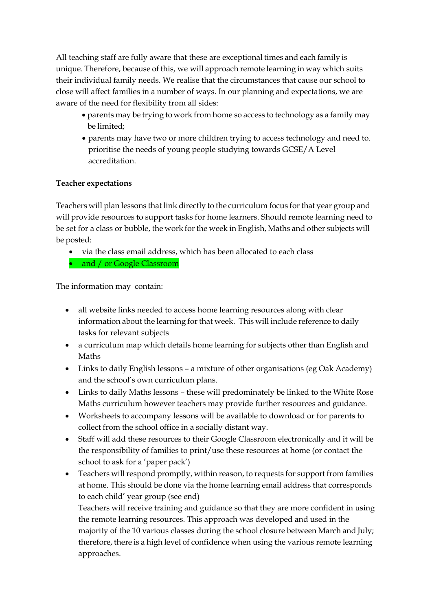All teaching staff are fully aware that these are exceptional times and each family is unique. Therefore, because of this, we will approach remote learning in way which suits their individual family needs. We realise that the circumstances that cause our school to close will affect families in a number of ways. In our planning and expectations, we are aware of the need for flexibility from all sides:

- parents may be trying to work from home so access to technology as a family may be limited;
- parents may have two or more children trying to access technology and need to. prioritise the needs of young people studying towards GCSE/A Level accreditation.

#### **Teacher expectations**

Teachers will plan lessons that link directly to the curriculum focus forthat year group and will provide resources to support tasks for home learners. Should remote learning need to be set for a class or bubble, the work for the week in English, Maths and other subjects will be posted:

- via the class email address, which has been allocated to each class
- and / or Google Classroom

The information may contain:

- all website links needed to access home learning resources along with clear information about the learning for that week. This will include reference to daily tasks for relevant subjects
- a curriculum map which details home learning for subjects other than English and Maths
- Links to daily English lessons a mixture of other organisations (eg Oak Academy) and the school's own curriculum plans.
- Links to daily Maths lessons these will predominately be linked to the White Rose Maths curriculum however teachers may provide further resources and guidance.
- Worksheets to accompany lessons will be available to download or for parents to collect from the school office in a socially distant way.
- Staff will add these resources to their Google Classroom electronically and it will be the responsibility of families to print/use these resources at home (or contact the school to ask for a 'paper pack')
- Teachers will respond promptly, within reason, to requests for support from families at home. This should be done via the home learning email address that corresponds to each child' year group (see end)

Teachers will receive training and guidance so that they are more confident in using the remote learning resources. This approach was developed and used in the majority of the 10 various classes during the school closure between March and July; therefore, there is a high level of confidence when using the various remote learning approaches.